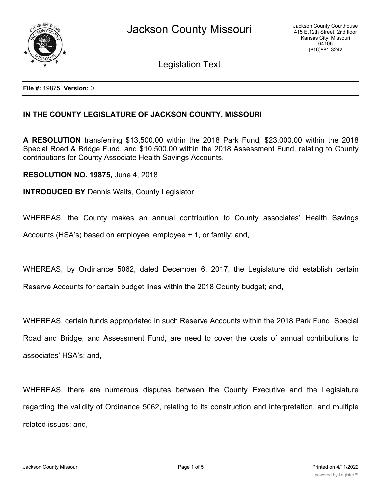

Legislation Text

**File #:** 19875, **Version:** 0

## **IN THE COUNTY LEGISLATURE OF JACKSON COUNTY, MISSOURI**

**A RESOLUTION** transferring \$13,500.00 within the 2018 Park Fund, \$23,000.00 within the 2018 Special Road & Bridge Fund, and \$10,500.00 within the 2018 Assessment Fund, relating to County contributions for County Associate Health Savings Accounts.

**RESOLUTION NO. 19875,** June 4, 2018

**INTRODUCED BY** Dennis Waits, County Legislator

WHEREAS, the County makes an annual contribution to County associates' Health Savings Accounts (HSA's) based on employee, employee + 1, or family; and,

WHEREAS, by Ordinance 5062, dated December 6, 2017, the Legislature did establish certain Reserve Accounts for certain budget lines within the 2018 County budget; and,

WHEREAS, certain funds appropriated in such Reserve Accounts within the 2018 Park Fund, Special Road and Bridge, and Assessment Fund, are need to cover the costs of annual contributions to associates' HSA's; and,

WHEREAS, there are numerous disputes between the County Executive and the Legislature regarding the validity of Ordinance 5062, relating to its construction and interpretation, and multiple related issues; and,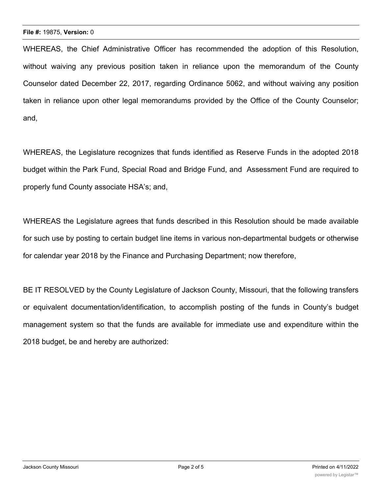WHEREAS, the Chief Administrative Officer has recommended the adoption of this Resolution, without waiving any previous position taken in reliance upon the memorandum of the County Counselor dated December 22, 2017, regarding Ordinance 5062, and without waiving any position taken in reliance upon other legal memorandums provided by the Office of the County Counselor; and,

WHEREAS, the Legislature recognizes that funds identified as Reserve Funds in the adopted 2018 budget within the Park Fund, Special Road and Bridge Fund, and Assessment Fund are required to properly fund County associate HSA's; and,

WHEREAS the Legislature agrees that funds described in this Resolution should be made available for such use by posting to certain budget line items in various non-departmental budgets or otherwise for calendar year 2018 by the Finance and Purchasing Department; now therefore,

BE IT RESOLVED by the County Legislature of Jackson County, Missouri, that the following transfers or equivalent documentation/identification, to accomplish posting of the funds in County's budget management system so that the funds are available for immediate use and expenditure within the 2018 budget, be and hereby are authorized: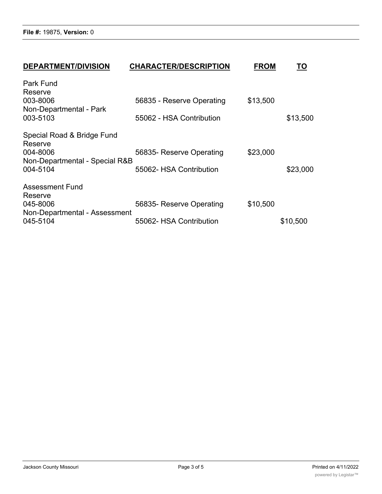**File #:** 19875, **Version:** 0

| Park Fund                      |                           |          |          |
|--------------------------------|---------------------------|----------|----------|
| Reserve                        |                           |          |          |
| 003-8006                       | 56835 - Reserve Operating | \$13,500 |          |
| Non-Departmental - Park        |                           |          |          |
| 003-5103                       | 55062 - HSA Contribution  |          | \$13,500 |
| Special Road & Bridge Fund     |                           |          |          |
| Reserve                        |                           |          |          |
| 004-8006                       | 56835- Reserve Operating  | \$23,000 |          |
| Non-Departmental - Special R&B |                           |          |          |
| 004-5104                       | 55062- HSA Contribution   |          | \$23,000 |
| <b>Assessment Fund</b>         |                           |          |          |
| Reserve                        |                           |          |          |
| 045-8006                       | 56835- Reserve Operating  | \$10,500 |          |
| Non-Departmental - Assessment  |                           |          |          |
| 045-5104                       | 55062- HSA Contribution   |          | \$10,500 |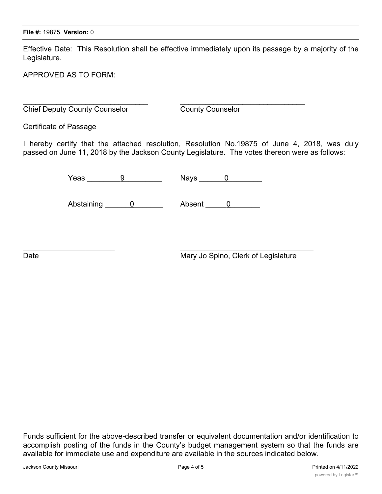Effective Date: This Resolution shall be effective immediately upon its passage by a majority of the Legislature.

APPROVED AS TO FORM:

 $\_$  , and the contribution of the contribution of  $\mathcal{L}_\mathcal{A}$  , and the contribution of  $\mathcal{L}_\mathcal{A}$ **Chief Deputy County Counselor** County Counselor

Certificate of Passage

I hereby certify that the attached resolution, Resolution No.19875 of June 4, 2018, was duly passed on June 11, 2018 by the Jackson County Legislature. The votes thereon were as follows:

Yeas  $9$  Nays 0

Abstaining 0 Absent 0

 $\overline{\phantom{a}}$  , and the contract of the contract of the contract of the contract of the contract of the contract of the contract of the contract of the contract of the contract of the contract of the contract of the contrac

Date **Date** Mary Jo Spino, Clerk of Legislature

Funds sufficient for the above-described transfer or equivalent documentation and/or identification to accomplish posting of the funds in the County's budget management system so that the funds are available for immediate use and expenditure are available in the sources indicated below.